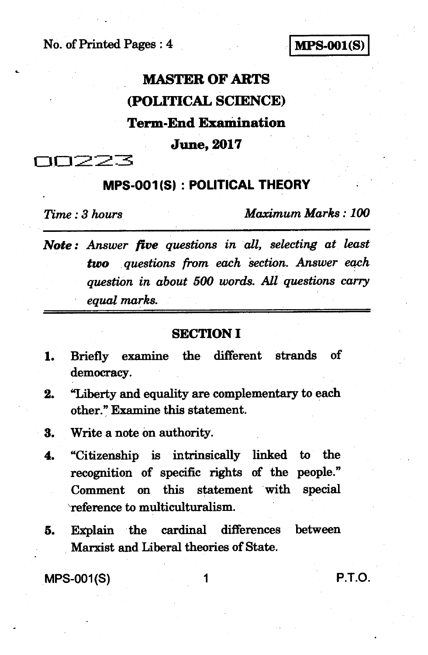**No. of Printed Pages : 4 IMPS-001(S)** 

# **MASTER OF ARTS (POLITICAL SCIENCE) Term-End Examination June, 2017**

**DD223** 

## **MPS-001(S) : POLITICAL THEORY** *-*

*Time : 3 hours Maximum Marks : 100* 

*Note : Answer five questions in all, selecting at least two questions from each 'section. Answer each question in about 500 words. All questions carry equal marks.* 

#### **SECTION I**

- **1. Briefly examine the different strands of democracy.**
- **2. "Liberty and equality are complementary to each other." Examine this statement.**
- **3. Write a note on authority.**
- **4. "Citizenship is intrinsically linked to the recognition of specific rights of the people." Comment on this statement with special `reference to multiculturalism.**
- **5. Explain the cardinal differences between Marxist and Liberal theories of State.**

**MPS-001(S) 1 P.T.O.**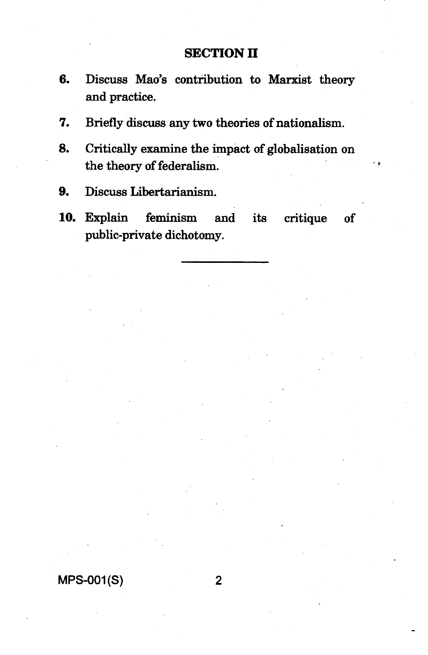### **SECTION II**

- **6. Discuss Mao's contribution to Marxist theory and practice.**
- **7. Briefly discuss any two theories of nationalism.**
- **8. Critically examine the impact of globalisation on the theory of federalism.**
- **9. Discuss Libertarianism.**
- **10. Explain feminism and its critique of public-private dichotomy.**

#### **MPS-001(S) 2**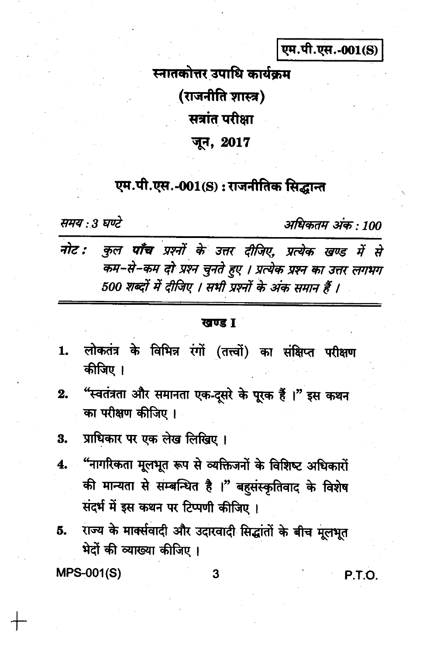एम.पी.एस.-001(S)

स्नातकोत्तर उपाधि कार्यक्रम (राजनीति शास्त्र) सत्रांत परीक्षा जून, 2017

## एम.पी.एस.-001(S) : राजनीतिक सिद्धान्त

समय : 3 घण्टे

अधिकतम अंक · 100

| नोट : कुल पाँच प्रश्नों के उत्तर दीजिए, प्रत्येक खण्ड में से |
|--------------------------------------------------------------|
| कम–से–कम दो प्रश्न चुनते हुए । प्रत्येक प्रश्न का उत्तर लगभग |
| 500 शब्दों में दीजिए । सभी प्रश्नों के अंक समान हैं ।        |

#### खण्ड I

- लोकतंत्र के विभिन्न रंगों (तत्त्वों) का संक्षिप्त परीक्षण  $\mathbf{1}$ . कीजिए ।
- "स्वतंत्रता और समानता एक-दूसरे के पूरक हैं ।" इस कथन  $2.$ का परीक्षण कीजिए।

- "नागरिकता मूलभूत रूप से व्यक्तिजनों के विशिष्ट अधिकारों  $\overline{\mathbf{4}}$ की मान्यता से सम्बन्धित है ।" बहुसंस्कृतिवाद के विशेष संदर्भ में इस कथन पर टिप्पणी कीजिए ।
- राज्य के मार्क्सवादी और उदारवादी सिद्धांतों के बीच मूलभूत 5. भेदों की व्याख्या कीजिए ।

**MPS-001(S)** 

3

P.T.O.

प्राधिकार पर एक लेख लिखिए। 3.